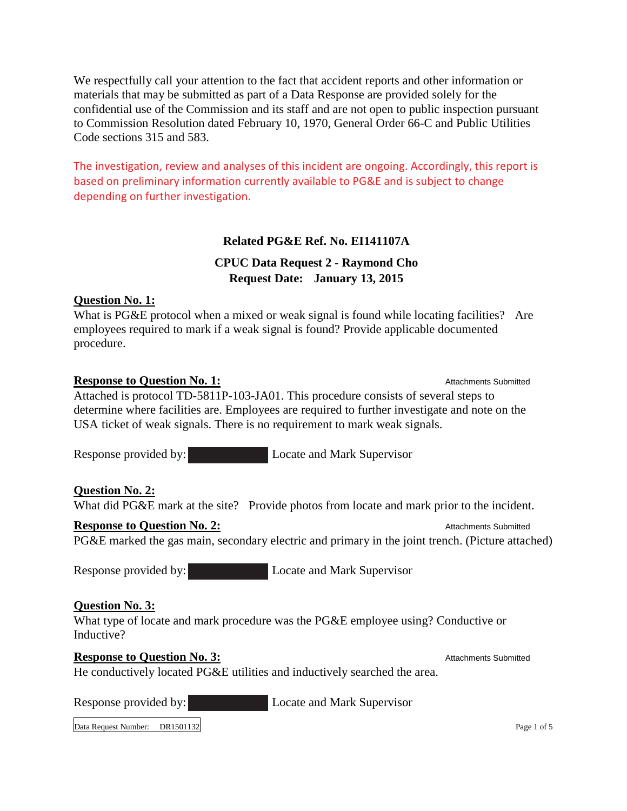We respectfully call your attention to the fact that accident reports and other information or materials that may be submitted as part of a Data Response are provided solely for the confidential use of the Commission and its staff and are not open to public inspection pursuant to Commission Resolution dated February 10, 1970, General Order 66-C and Public Utilities Code sections 315 and 583.

The investigation, review and analyses of this incident are ongoing. Accordingly, this report is based on preliminary information currently available to PG&E and is subject to change depending on further investigation.

### **Related PG&E Ref. No. EI141107A**

# **CPUC Data Request 2 - Raymond Cho Request Date: January 13, 2015**

### **Question No. 1:**

What is PG&E protocol when a mixed or weak signal is found while locating facilities? Are employees required to mark if a weak signal is found? Provide applicable documented procedure.

### **Response to Question No. 1:** Attachments Submitted

Attached is protocol TD-5811P-103-JA01. This procedure consists of several steps to determine where facilities are. Employees are required to further investigate and note on the USA ticket of weak signals. There is no requirement to mark weak signals.

Response provided by: Locate and Mark Supervisor

## **Question No. 2:**

What did PG&E mark at the site? Provide photos from locate and mark prior to the incident.

## **Response to Ouestion No. 2:** Attachments Submitted

PG&E marked the gas main, secondary electric and primary in the joint trench. (Picture attached)

Response provided by: Locate and Mark Supervisor

## **Question No. 3:**

What type of locate and mark procedure was the PG&E employee using? Conductive or Inductive?

## **Response to Ouestion No. 3:** Attachments Submitted

He conductively located PG&E utilities and inductively searched the area.

Response provided by: Locate and Mark Supervisor

Data Request Number: DR1501132 Page 1 of 5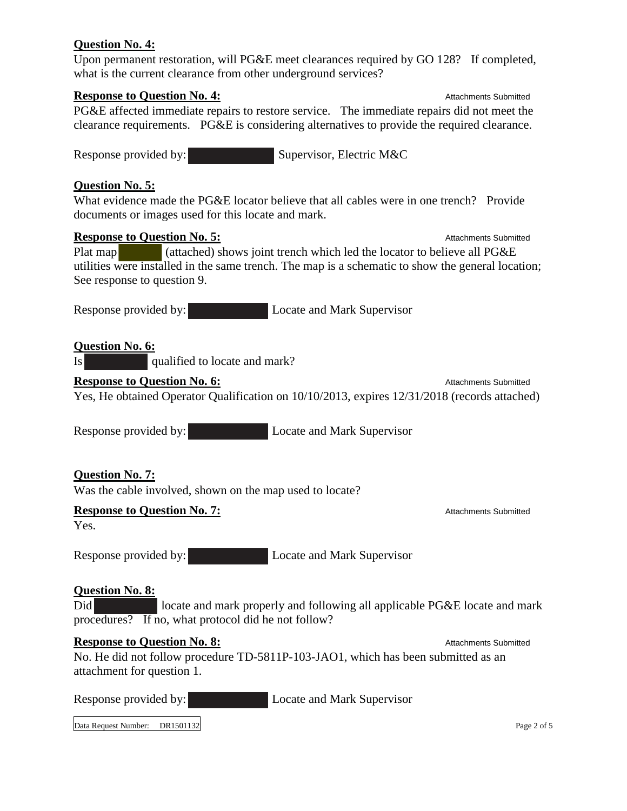### **Question No. 4:**

Upon permanent restoration, will PG&E meet clearances required by GO 128? If completed, what is the current clearance from other underground services?

#### **Response to Question No. 4:** Attachments Submitted

PG&E affected immediate repairs to restore service. The immediate repairs did not meet the clearance requirements. PG&E is considering alternatives to provide the required clearance.

Response provided by: Supervisor, Electric M&C

#### **Question No. 5:**

What evidence made the PG&E locator believe that all cables were in one trench? Provide documents or images used for this locate and mark.

#### **Response to Question No. 5:** Attachments Submitted

Plat map (attached) shows joint trench which led the locator to believe all PG&E utilities were installed in the same trench. The map is a schematic to show the general location; See response to question 9.

Response provided by: Locate and Mark Supervisor

### **Question No. 6:**

Is qualified to locate and mark?

#### **Response to Question No. 6:** Attachments Submitted and Attachments Submitted and Attachments Submitted

Yes, He obtained Operator Qualification on 10/10/2013, expires 12/31/2018 (records attached)

Response provided by: Locate and Mark Supervisor

### **Question No. 7:**

Was the cable involved, shown on the map used to locate?

#### **Response to Question No. 7:** Attachments Submitted

Yes.

Response provided by: Locate and Mark Supervisor

#### **Question No. 8:**

Did locate and mark properly and following all applicable PG&E locate and mark procedures? If no, what protocol did he not follow?

### **Response to Question No. 8:** Attachments Submitted

No. He did not follow procedure TD-5811P-103-JAO1, which has been submitted as an attachment for question 1.

Response provided by: Locate and Mark Supervisor

Data Request Number: DR1501132 Page 2 of 5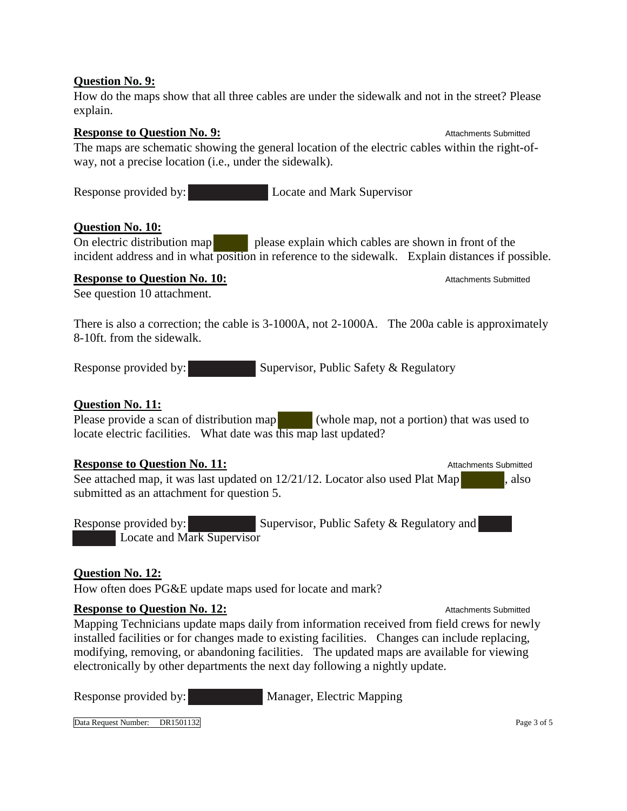### **Question No. 9:**

How do the maps show that all three cables are under the sidewalk and not in the street? Please explain.

#### **Response to Question No. 9:** Attachments Submitted and Attachments Submitted and Attachments Submitted

The maps are schematic showing the general location of the electric cables within the right-ofway, not a precise location (i.e., under the sidewalk).

Response provided by: Locate and Mark Supervisor

### **Question No. 10:**

On electric distribution map please explain which cables are shown in front of the incident address and in what position in reference to the sidewalk. Explain distances if possible.

#### **Response to Question No. 10:** Attachments Submitted

See question 10 attachment.

There is also a correction; the cable is 3-1000A, not 2-1000A. The 200a cable is approximately 8-10ft. from the sidewalk.

Response provided by: Supervisor, Public Safety & Regulatory

### **Question No. 11:**

Please provide a scan of distribution map (whole map, not a portion) that was used to locate electric facilities. What date was this map last updated?

### **Response to Ouestion No. 11:** Attachments Submitted

See attached map, it was last updated on  $12/21/12$ . Locator also used Plat Map  $\qquad \qquad$ , also submitted as an attachment for question 5.

Response provided by: Supervisor, Public Safety & Regulatory and Locate and Mark Supervisor

### **Question No. 12:**

How often does PG&E update maps used for locate and mark?

### **Response to Question No. 12:** Attachments Submitted

Mapping Technicians update maps daily from information received from field crews for newly installed facilities or for changes made to existing facilities. Changes can include replacing, modifying, removing, or abandoning facilities. The updated maps are available for viewing electronically by other departments the next day following a nightly update.

Response provided by: Manager, Electric Mapping

Data Request Number: DR1501132 Page 3 of 5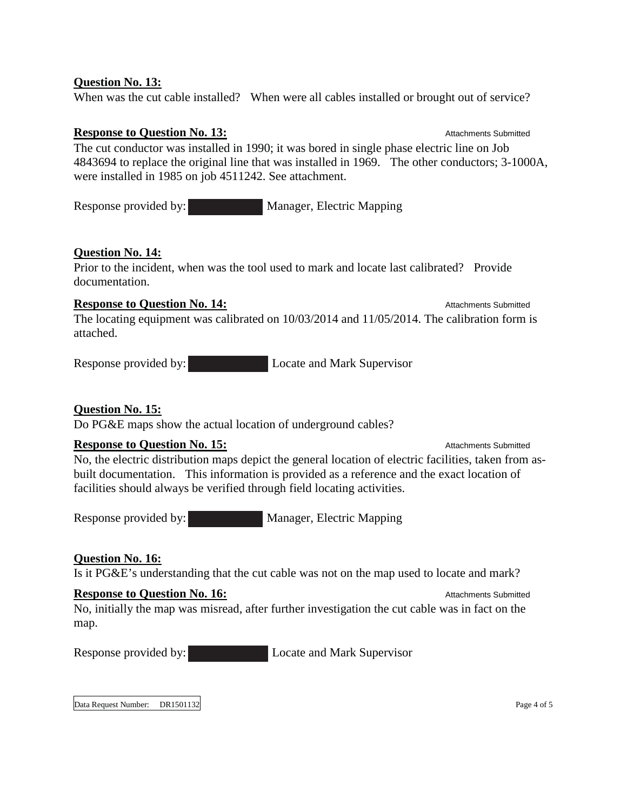### **Question No. 13:**

When was the cut cable installed? When were all cables installed or brought out of service?

**Response to Question No. 13:** Attachments Submitted The cut conductor was installed in 1990; it was bored in single phase electric line on Job 4843694 to replace the original line that was installed in 1969. The other conductors; 3-1000A, were installed in 1985 on job 4511242. See attachment.

Response provided by: Manager, Electric Mapping

### **Question No. 14:**

Prior to the incident, when was the tool used to mark and locate last calibrated? Provide documentation.

### **Response to Question No. 14:** Attachments Submitted

The locating equipment was calibrated on 10/03/2014 and 11/05/2014. The calibration form is attached.

Response provided by: Locate and Mark Supervisor

## **Question No. 15:**

Do PG&E maps show the actual location of underground cables?

## **Response to Question No. 15:** Attachments Submitted

No, the electric distribution maps depict the general location of electric facilities, taken from asbuilt documentation. This information is provided as a reference and the exact location of facilities should always be verified through field locating activities.

Response provided by: Manager, Electric Mapping

## **Question No. 16:**

Is it PG&E's understanding that the cut cable was not on the map used to locate and mark?

### **Response to Question No. 16:** Attachments Submitted Contact Attachments Submitted

No, initially the map was misread, after further investigation the cut cable was in fact on the map.

Response provided by: Locate and Mark Supervisor

Data Request Number: DR1501132 Page 4 of 5